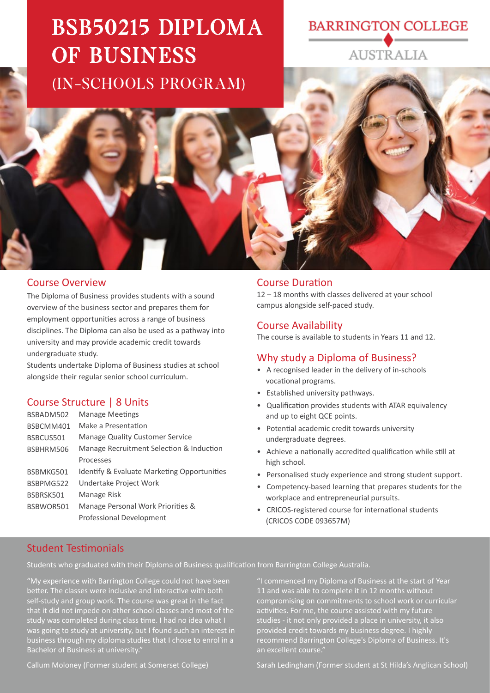# BSB50215 DIPLOMA OF BUSINESS (IN-SCHOOLS PROGRAM)

# **BARRINGTON COLLEGE AUSTRALIA**

### Course Overview

The Diploma of Business provides students with a sound overview of the business sector and prepares them for employment opportuni�es across a range of business disciplines. The Diploma can also be used as a pathway into university and may provide academic credit towards undergraduate study.

Students undertake Diploma of Business studies at school alongside their regular senior school curriculum.

#### Course Structure | 8 Units

| BSBADM502 | <b>Manage Meetings</b>                      |
|-----------|---------------------------------------------|
| BSBCMM401 | Make a Presentation                         |
| BSBCUS501 | Manage Quality Customer Service             |
| BSBHRM506 | Manage Recruitment Selection & Induction    |
|           | Processes                                   |
| BSBMKG501 | Identify & Evaluate Marketing Opportunities |
| BSBPMG522 | Undertake Project Work                      |
| BSBRSK501 | Manage Risk                                 |
| BSBWOR501 | Manage Personal Work Priorities &           |
|           | Professional Development                    |

#### **Course Duration**

12 – 18 months with classes delivered at your school campus alongside self-paced study.

#### Course Availability

The course is available to students in Years 11 and 12.

#### Why study a Diploma of Business?

- A recognised leader in the delivery of in-schools vocational programs.
- Established university pathways.
- Qualification provides students with ATAR equivalency and up to eight QCE points.
- Potential academic credit towards university undergraduate degrees.
- Achieve a nationally accredited qualification while still at high school.
- Personalised study experience and strong student support.
- Competency-based learning that prepares students for the workplace and entrepreneurial pursuits.
- CRICOS-registered course for international students (CRICOS CODE 093657M)

#### Student Testimonials

Students who graduated with their Diploma of Business qualification from Barrington College Australia.

"My experience with Barrington College could not have been better. The classes were inclusive and interactive with both self-study and group work. The course was great in the fact that it did not impede on other school classes and most of the study was completed during class time. I had no idea what I was going to study at university, but I found such an interest in business through my diploma studies that I chose to enrol in a Bachelor of Business at university."

"I commenced my Diploma of Business at the start of Year 11 and was able to complete it in 12 months without compromising on commitments to school work or curricular activities. For me, the course assisted with my future studies - it not only provided a place in university, it also provided credit towards my business degree. I highly recommend Barrington College's Diploma of Business. It's an excellent course.

Callum Moloney (Former student at Somerset College)

Sarah Ledingham (Former student at St Hilda's Anglican School)